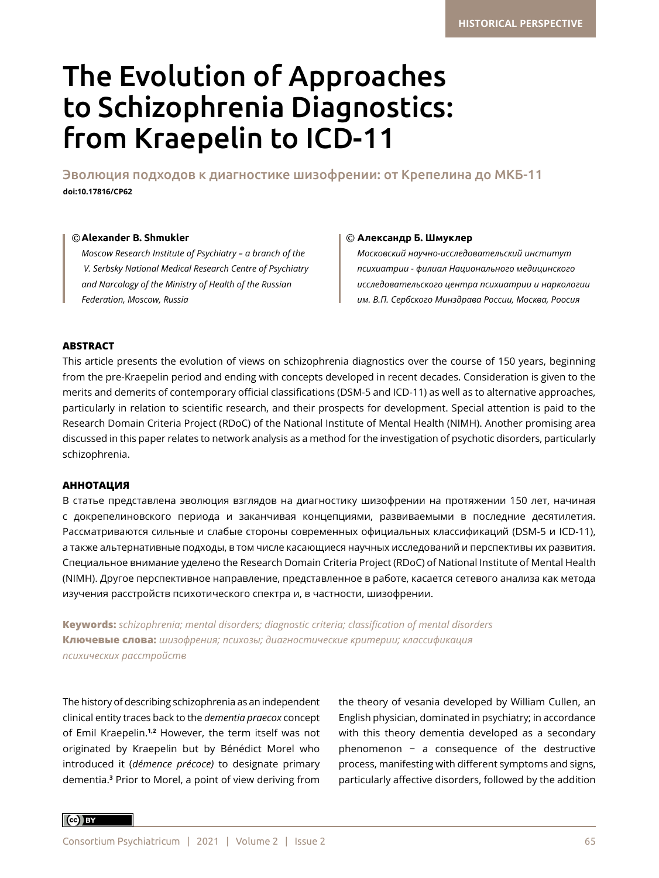# The Evolution of Approaches to Schizophrenia Diagnostics: from Kraepelin to ICD-11

Эволюция подходов к диагностике шизофрении: от Крепелина до МКБ-11 **doi:10.17816/CP62**

## © Alexander B. Shmukler

*Moscow Research Institute of Psychiatry – a branch of the V. Serbsky National Medical Research Centre of Psychiatry and Narcology of the Ministry of Health of the Russian Federation, Moscow, Russia*

## **Alexander B. Shmukler Александр Б. Шмуклер**

*Московский научно-исследовательский институт психиатрии - филиал Национального медицинского исследовательского центра психиатрии и наркологии им. В.П. Сербского Минздрава России, Москва, Роосия*

## **ABSTRACT**

This article presents the evolution of views on schizophrenia diagnostics over the course of 150 years, beginning from the pre-Kraepelin period and ending with concepts developed in recent decades. Consideration is given to the merits and demerits of contemporary official classifications (DSM-5 and ICD-11) as well as to alternative approaches, particularly in relation to scientific research, and their prospects for development. Special attention is paid to the Research Domain Criteria Project (RDoC) of the National Institute of Mental Health (NIMH). Another promising area discussed in this paper relates to network analysis as a method for the investigation of psychotic disorders, particularly schizophrenia.

## **АННОТАЦИЯ**

В статье представлена эволюция взглядов на диагностику шизофрении на протяжении 150 лет, начиная с докрепелиновского периода и заканчивая концепциями, развиваемыми в последние десятилетия. Рассматриваются сильные и слабые стороны современных официальных классификаций (DSM-5 и ICD-11), а также альтернативные подходы, в том числе касающиеся научных исследований и перспективы их развития. Специальное внимание уделено the Research Domain Criteria Project (RDoC) of National Institute of Mental Health (NIMH). Другое перспективное направление, представленное в работе, касается сетевого анализа как метода изучения расстройств психотического спектра и, в частности, шизофрении.

**Keywords:** *schizophrenia; mental disorders; diagnostic criteria; classification of mental disorders* **Ключевые слова:** *шизофрения; психозы; диагностические критерии; классификация психических расстройств*

The history of describing schizophrenia as an independent clinical entity traces back to the *dementia praecox* concept of Emil Kraepelin.**1,2** However, the term itself was not originated by Kraepelin but by Bénédict Morel who introduced it (*démence précoce)* to designate primary dementia.**<sup>3</sup>** Prior to Morel, a point of view deriving from

the theory of vesania developed by William Cullen, an English physician, dominated in psychiatry; in accordance with this theory dementia developed as a secondary phenomenon − a consequence of the destructive process, manifesting with different symptoms and signs, particularly affective disorders, followed by the addition

 $\left($ cc $\right)$  BY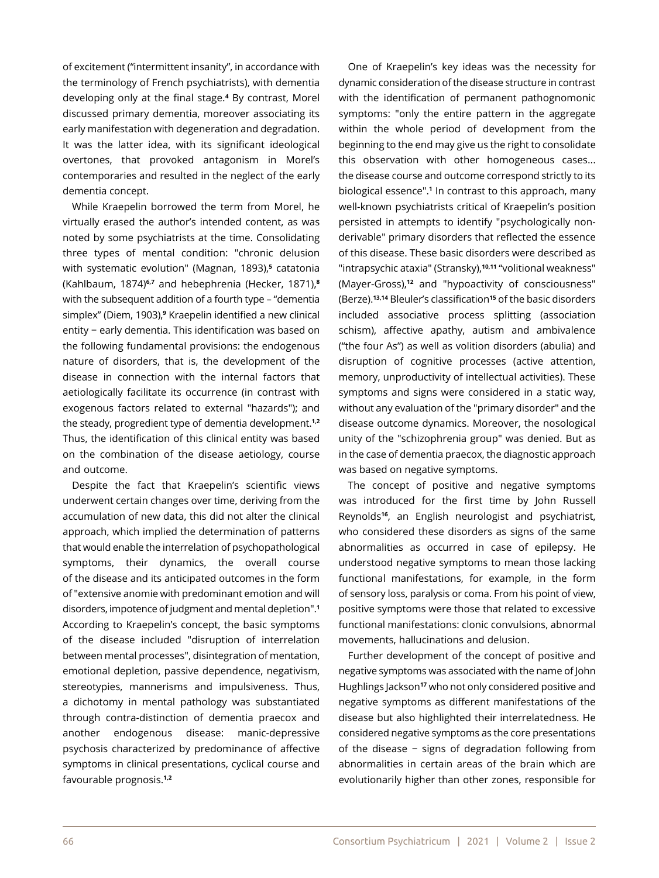of excitement ("intermittent insanity", in accordance with the terminology of French psychiatrists), with dementia developing only at the final stage.**<sup>4</sup>** By contrast, Morel discussed primary dementia, moreover associating its early manifestation with degeneration and degradation. It was the latter idea, with its significant ideological overtones, that provoked antagonism in Morel's contemporaries and resulted in the neglect of the early dementia concept.

While Kraepelin borrowed the term from Morel, he virtually erased the author's intended content, as was noted by some psychiatrists at the time. Consolidating three types of mental condition: "chronic delusion with systematic evolution" (Magnan, 1893),**<sup>5</sup>** catatonia (Kahlbaum, 1874)**6,7** and hebephrenia (Hecker, 1871),**<sup>8</sup>** with the subsequent addition of a fourth type – "dementia simplex" (Diem, 1903),**<sup>9</sup>** Kraepelin identified a new clinical entity − early dementia. This identification was based on the following fundamental provisions: the endogenous nature of disorders, that is, the development of the disease in connection with the internal factors that aetiologically facilitate its occurrence (in contrast with exogenous factors related to external "hazards"); and the steady, progredient type of dementia development.**1,2** Thus, the identification of this clinical entity was based on the combination of the disease aetiology, course and outcome.

Despite the fact that Kraepelin's scientific views underwent certain changes over time, deriving from the accumulation of new data, this did not alter the clinical approach, which implied the determination of patterns that would enable the interrelation of psychopathological symptoms, their dynamics, the overall course of the disease and its anticipated outcomes in the form of "extensive anomie with predominant emotion and will disorders, impotence of judgment and mental depletion".**<sup>1</sup>** According to Kraepelin's concept, the basic symptoms of the disease included "disruption of interrelation between mental processes", disintegration of mentation, emotional depletion, passive dependence, negativism, stereotypies, mannerisms and impulsiveness. Thus, a dichotomy in mental pathology was substantiated through contra-distinction of dementia praecox and another endogenous disease: manic-depressive psychosis characterized by predominance of affective symptoms in clinical presentations, cyclical course and favourable prognosis.**1,2**

One of Kraepelin's key ideas was the necessity for dynamic consideration of the disease structure in contrast with the identification of permanent pathognomonic symptoms: "only the entire pattern in the aggregate within the whole period of development from the beginning to the end may give us the right to consolidate this observation with other homogeneous cases... the disease course and outcome correspond strictly to its biological essence".**<sup>1</sup>** In contrast to this approach, many well-known psychiatrists critical of Kraepelin's position persisted in attempts to identify "psychologically nonderivable" primary disorders that reflected the essence of this disease. These basic disorders were described as "intrapsychic ataxia" (Stransky),**10,11** "volitional weakness" (Mayer-Gross),**12** and "hypoactivity of consciousness" (Berze).**13,14** Bleuler's classification**15** of the basic disorders included associative process splitting (association schism), affective apathy, autism and ambivalence ("the four As") as well as volition disorders (abulia) and disruption of cognitive processes (active attention, memory, unproductivity of intellectual activities). These symptoms and signs were considered in a static way, without any evaluation of the "primary disorder" and the disease outcome dynamics. Moreover, the nosological unity of the "schizophrenia group" was denied. But as in the case of dementia praecox, the diagnostic approach was based on negative symptoms.

The concept of positive and negative symptoms was introduced for the first time by John Russell Reynolds**16**, an English neurologist and psychiatrist, who considered these disorders as signs of the same abnormalities as occurred in case of epilepsy. He understood negative symptoms to mean those lacking functional manifestations, for example, in the form of sensory loss, paralysis or coma. From his point of view, positive symptoms were those that related to excessive functional manifestations: clonic convulsions, abnormal movements, hallucinations and delusion.

Further development of the concept of positive and negative symptoms was associated with the name of John Hughlings Jackson**17** who not only considered positive and negative symptoms as different manifestations of the disease but also highlighted their interrelatedness. He considered negative symptoms as the core presentations of the disease − signs of degradation following from abnormalities in certain areas of the brain which are evolutionarily higher than other zones, responsible for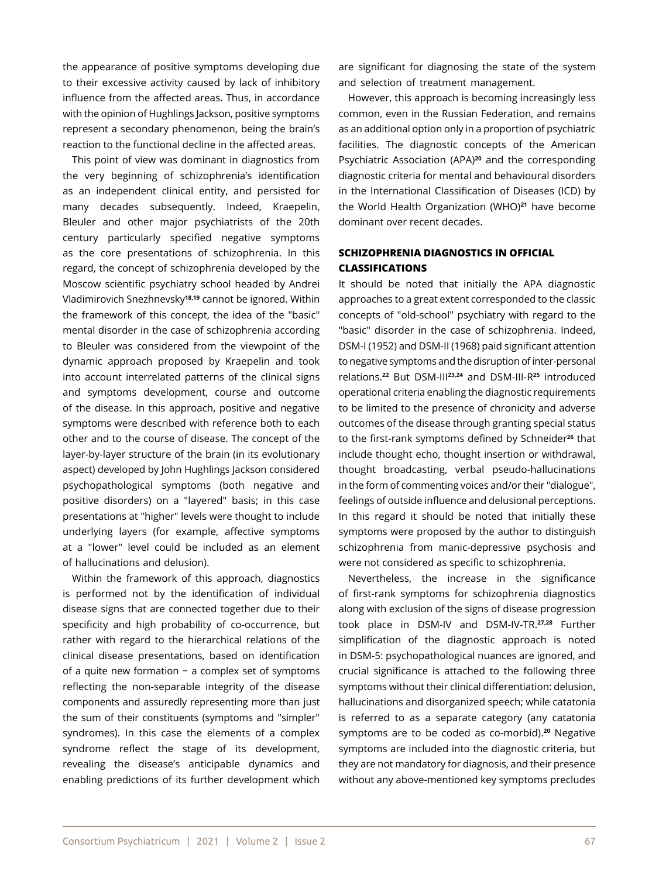the appearance of positive symptoms developing due to their excessive activity caused by lack of inhibitory influence from the affected areas. Thus, in accordance with the opinion of Hughlings Jackson, positive symptoms represent a secondary phenomenon, being the brain's reaction to the functional decline in the affected areas.

This point of view was dominant in diagnostics from the very beginning of schizophrenia's identification as an independent clinical entity, and persisted for many decades subsequently. Indeed, Kraepelin, Bleuler and other major psychiatrists of the 20th century particularly specified negative symptoms as the core presentations of schizophrenia. In this regard, the concept of schizophrenia developed by the Moscow scientific psychiatry school headed by Andrei Vladimirovich Snezhnevsky**18,19** cannot be ignored. Within the framework of this concept, the idea of the "basic" mental disorder in the case of schizophrenia according to Bleuler was considered from the viewpoint of the dynamic approach proposed by Kraepelin and took into account interrelated patterns of the clinical signs and symptoms development, course and outcome of the disease. In this approach, positive and negative symptoms were described with reference both to each other and to the course of disease. The concept of the layer-by-layer structure of the brain (in its evolutionary aspect) developed by John Hughlings Jackson considered psychopathological symptoms (both negative and positive disorders) on a "layered" basis; in this case presentations at "higher" levels were thought to include underlying layers (for example, affective symptoms at a "lower" level could be included as an element of hallucinations and delusion).

Within the framework of this approach, diagnostics is performed not by the identification of individual disease signs that are connected together due to their specificity and high probability of co-occurrence, but rather with regard to the hierarchical relations of the clinical disease presentations, based on identification of a quite new formation − a complex set of symptoms reflecting the non-separable integrity of the disease components and assuredly representing more than just the sum of their constituents (symptoms and "simpler" syndromes). In this case the elements of a complex syndrome reflect the stage of its development, revealing the disease's anticipable dynamics and enabling predictions of its further development which

are significant for diagnosing the state of the system and selection of treatment management.

However, this approach is becoming increasingly less common, even in the Russian Federation, and remains as an additional option only in a proportion of psychiatric facilities. The diagnostic concepts of the American Psychiatric Association (APA)**20** and the corresponding diagnostic criteria for mental and behavioural disorders in the International Classification of Diseases (ICD) by the World Health Organization (WHO)**21** have become dominant over recent decades.

## **SCHIZOPHRENIA DIAGNOSTICS IN OFFICIAL CLASSIFICATIONS**

It should be noted that initially the APA diagnostic approaches to a great extent corresponded to the classic concepts of "old-school" psychiatry with regard to the "basic" disorder in the case of schizophrenia. Indeed, DSM-I (1952) and DSM-II (1968) paid significant attention to negative symptoms and the disruption of inter-personal relations.**22** But DSM-III**23,24** and DSM-III-R**25** introduced operational criteria enabling the diagnostic requirements to be limited to the presence of chronicity and adverse outcomes of the disease through granting special status to the first-rank symptoms defined by Schneider**26** that include thought echo, thought insertion or withdrawal, thought broadcasting, verbal pseudo-hallucinations in the form of commenting voices and/or their "dialogue", feelings of outside influence and delusional perceptions. In this regard it should be noted that initially these symptoms were proposed by the author to distinguish schizophrenia from manic-depressive psychosis and were not considered as specific to schizophrenia.

Nevertheless, the increase in the significance of first-rank symptoms for schizophrenia diagnostics along with exclusion of the signs of disease progression took place in DSM-IV and DSM-IV-TR.**27,28** Further simplification of the diagnostic approach is noted in DSM-5: psychopathological nuances are ignored, and crucial significance is attached to the following three symptoms without their clinical differentiation: delusion, hallucinations and disorganized speech; while catatonia is referred to as a separate category (any catatonia symptoms are to be coded as co-morbid).**20** Negative symptoms are included into the diagnostic criteria, but they are not mandatory for diagnosis, and their presence without any above-mentioned key symptoms precludes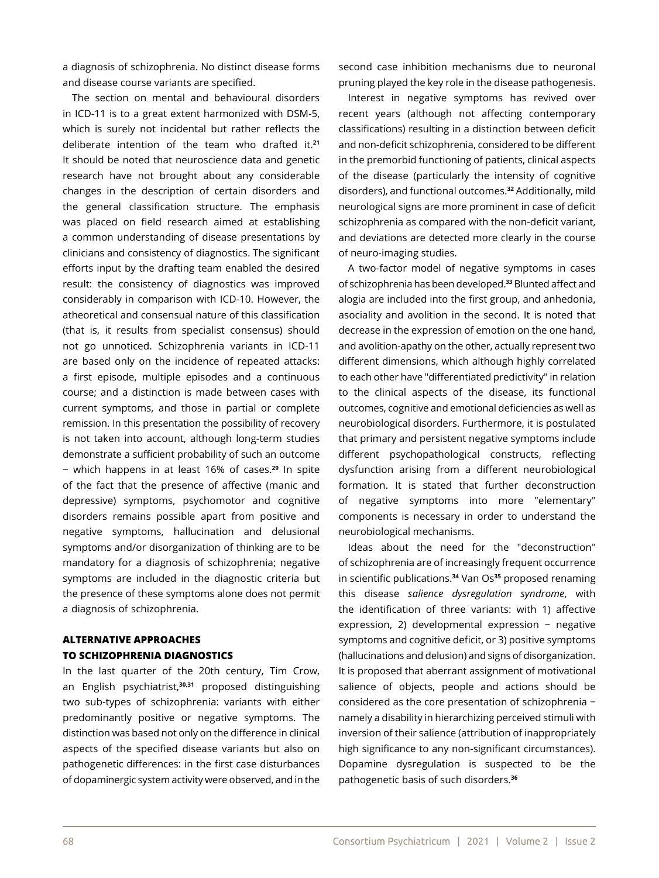a diagnosis of schizophrenia. No distinct disease forms and disease course variants are specified.

The section on mental and behavioural disorders in ICD-11 is to a great extent harmonized with DSM-5, which is surely not incidental but rather reflects the deliberate intention of the team who drafted it.**<sup>21</sup>** It should be noted that neuroscience data and genetic research have not brought about any considerable changes in the description of certain disorders and the general classification structure. The emphasis was placed on field research aimed at establishing a common understanding of disease presentations by clinicians and consistency of diagnostics. The significant efforts input by the drafting team enabled the desired result: the consistency of diagnostics was improved considerably in comparison with ICD-10. However, the atheoretical and consensual nature of this classification (that is, it results from specialist consensus) should not go unnoticed. Schizophrenia variants in ICD-11 are based only on the incidence of repeated attacks: a first episode, multiple episodes and a continuous course; and a distinction is made between cases with current symptoms, and those in partial or complete remission. In this presentation the possibility of recovery is not taken into account, although long-term studies demonstrate a sufficient probability of such an outcome − which happens in at least 16% of cases.**29** In spite of the fact that the presence of affective (manic and depressive) symptoms, psychomotor and cognitive disorders remains possible apart from positive and negative symptoms, hallucination and delusional symptoms and/or disorganization of thinking are to be mandatory for a diagnosis of schizophrenia; negative symptoms are included in the diagnostic criteria but the presence of these symptoms alone does not permit a diagnosis of schizophrenia.

# **ALTERNATIVE APPROACHES TO SCHIZOPHRENIA DIAGNOSTICS**

In the last quarter of the 20th century, Tim Crow, an English psychiatrist,**30,31** proposed distinguishing two sub-types of schizophrenia: variants with either predominantly positive or negative symptoms. The distinction was based not only on the difference in clinical aspects of the specified disease variants but also on pathogenetic differences: in the first case disturbances of dopaminergic system activity were observed, and in the second case inhibition mechanisms due to neuronal pruning played the key role in the disease pathogenesis.

Interest in negative symptoms has revived over recent years (although not affecting contemporary classifications) resulting in a distinction between deficit and non-deficit schizophrenia, considered to be different in the premorbid functioning of patients, clinical aspects of the disease (particularly the intensity of cognitive disorders), and functional outcomes.**32** Additionally, mild neurological signs are more prominent in case of deficit schizophrenia as compared with the non-deficit variant, and deviations are detected more clearly in the course of neuro-imaging studies.

A two-factor model of negative symptoms in cases of schizophrenia has been developed.**33** Blunted affect and alogia are included into the first group, and anhedonia, asociality and avolition in the second. It is noted that decrease in the expression of emotion on the one hand, and avolition-apathy on the other, actually represent two different dimensions, which although highly correlated to each other have "differentiated predictivity" in relation to the clinical aspects of the disease, its functional outcomes, cognitive and emotional deficiencies as well as neurobiological disorders. Furthermore, it is postulated that primary and persistent negative symptoms include different psychopathological constructs, reflecting dysfunction arising from a different neurobiological formation. It is stated that further deconstruction of negative symptoms into more "elementary" components is necessary in order to understand the neurobiological mechanisms.

Ideas about the need for the "deconstruction" of schizophrenia are of increasingly frequent occurrence in scientific publications.**34** Van Os**35** proposed renaming this disease *salience dysregulation syndrome*, with the identification of three variants: with 1) affective expression, 2) developmental expression − negative symptoms and cognitive deficit, or 3) positive symptoms (hallucinations and delusion) and signs of disorganization. It is proposed that aberrant assignment of motivational salience of objects, people and actions should be considered as the core presentation of schizophrenia − namely a disability in hierarchizing perceived stimuli with inversion of their salience (attribution of inappropriately high significance to any non-significant circumstances). Dopamine dysregulation is suspected to be the pathogenetic basis of such disorders.**36**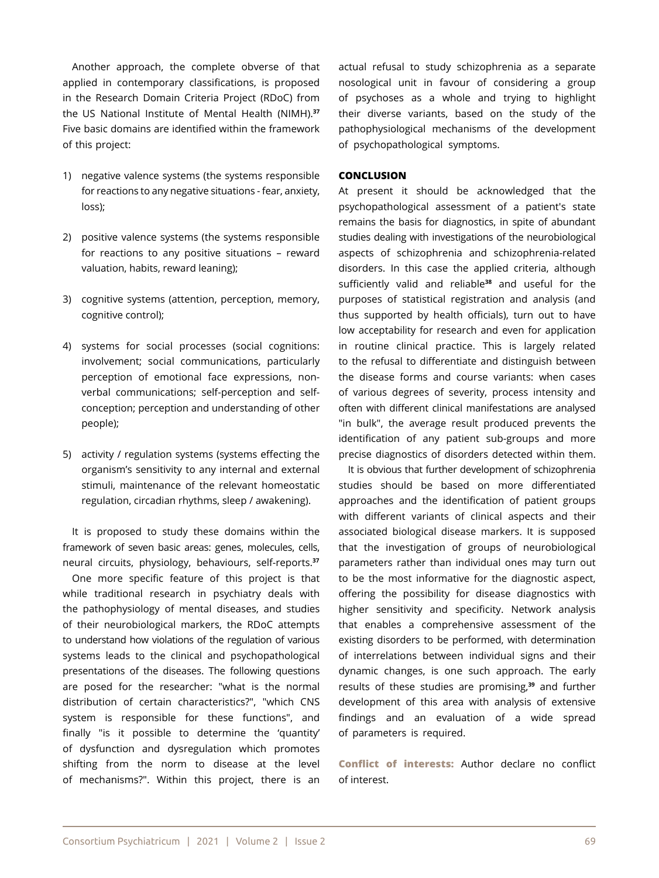Another approach, the complete obverse of that applied in contemporary classifications, is proposed in the Research Domain Criteria Project (RDoC) from the US National Institute of Mental Health (NIMH).**<sup>37</sup>** Five basic domains are identified within the framework of this project:

- 1) negative valence systems (the systems responsible for reactions to any negative situations - fear, anxiety, loss);
- 2) positive valence systems (the systems responsible for reactions to any positive situations – reward valuation, habits, reward leaning);
- 3) cognitive systems (attention, perception, memory, cognitive control);
- 4) systems for social processes (social cognitions: involvement; social communications, particularly perception of emotional face expressions, nonverbal communications; self-perception and selfconception; perception and understanding of other people);
- 5) activity / regulation systems (systems effecting the organism's sensitivity to any internal and external stimuli, maintenance of the relevant homeostatic regulation, circadian rhythms, sleep / awakening).

It is proposed to study these domains within the framework of seven basic areas: genes, molecules, cells, neural circuits, physiology, behaviours, self-reports.**<sup>37</sup>**

One more specific feature of this project is that while traditional research in psychiatry deals with the pathophysiology of mental diseases, and studies of their neurobiological markers, the RDoC attempts to understand how violations of the regulation of various systems leads to the clinical and psychopathological presentations of the diseases. The following questions are posed for the researcher: "what is the normal distribution of certain characteristics?", "which CNS system is responsible for these functions", and finally "is it possible to determine the 'quantity' of dysfunction and dysregulation which promotes shifting from the norm to disease at the level of mechanisms?". Within this project, there is an actual refusal to study schizophrenia as a separate nosological unit in favour of considering a group of psychoses as a whole and trying to highlight their diverse variants, based on the study of the pathophysiological mechanisms of the development of psychopathological symptoms.

## **CONCLUSION**

At present it should be acknowledged that the psychopathological assessment of a patient's state remains the basis for diagnostics, in spite of abundant studies dealing with investigations of the neurobiological aspects of schizophrenia and schizophrenia-related disorders. In this case the applied criteria, although sufficiently valid and reliable**38** and useful for the purposes of statistical registration and analysis (and thus supported by health officials), turn out to have low acceptability for research and even for application in routine clinical practice. This is largely related to the refusal to differentiate and distinguish between the disease forms and course variants: when cases of various degrees of severity, process intensity and often with different clinical manifestations are analysed "in bulk", the average result produced prevents the identification of any patient sub-groups and more precise diagnostics of disorders detected within them.

It is obvious that further development of schizophrenia studies should be based on more differentiated approaches and the identification of patient groups with different variants of clinical aspects and their associated biological disease markers. It is supposed that the investigation of groups of neurobiological parameters rather than individual ones may turn out to be the most informative for the diagnostic aspect, offering the possibility for disease diagnostics with higher sensitivity and specificity. Network analysis that enables a comprehensive assessment of the existing disorders to be performed, with determination of interrelations between individual signs and their dynamic changes, is one such approach. The early results of these studies are promising,**39** and further development of this area with analysis of extensive findings and an evaluation of a wide spread of parameters is required.

**Conflict of interests:** Author declare no conflict of interest.